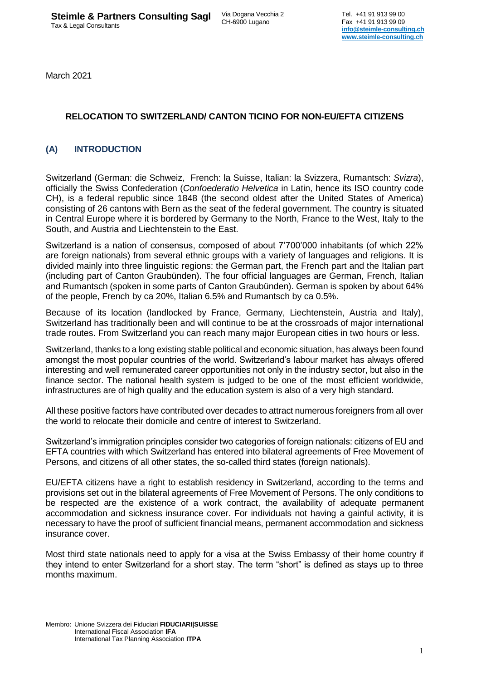March 2021

# **RELOCATION TO SWITZERLAND/ CANTON TICINO FOR NON-EU/EFTA CITIZENS**

# **(A) INTRODUCTION**

Switzerland (German: die Schweiz, French: la Suisse, Italian: la Svizzera, [Rumantsch:](http://en.wikipedia.org/wiki/Romansh_language) *Svizra*), officially the Swiss Confederation (*Confoederatio Helvetica* in [Latin,](http://en.wikipedia.org/wiki/Latin_language) hence its [ISO](http://en.wikipedia.org/wiki/International_Organization_for_Standardization) country code [CH\)](http://en.wikipedia.org/wiki/Data_codes_for_Switzerland#Country), is a [federal republic](http://en.wikipedia.org/wiki/Federal_republic) since 1848 (the second oldest after the United States of America) consisting of 26 [cantons](http://en.wikipedia.org/wiki/Canton_(administrative_division)) with [Bern](http://en.wikipedia.org/wiki/Bern) as the seat of the federal government. The country is situated in [Central Europe](http://en.wikipedia.org/wiki/Central_Europe) where it is bordered by [Germany](http://en.wikipedia.org/wiki/Germany) to the North, [France](http://en.wikipedia.org/wiki/France) to the West, [Italy](http://en.wikipedia.org/wiki/Italy) to the South, and [Austria](http://en.wikipedia.org/wiki/Austria) and [Liechtenstein](http://en.wikipedia.org/wiki/Liechtenstein) to the East.

Switzerland is a nation of consensus, composed of about 7'700'000 inhabitants (of which 22% are foreign nationals) from several ethnic groups with a variety of languages and religions. It is divided mainly into three linguistic regions: the German part, the French part and the Italian part (including part of Canton Graubünden). The four official languages are German, French, Italian and Rumantsch (spoken in some parts of Canton Graubünden). German is spoken by about 64% of the people, French by ca 20%, Italian 6.5% and Rumantsch by ca 0.5%.

Because of its location (landlocked by France, Germany, Liechtenstein, Austria and Italy), Switzerland has traditionally been and will continue to be at the crossroads of major international trade routes. From Switzerland you can reach many major European cities in two hours or less.

Switzerland, thanks to a long existing stable political and economic situation, has always been found amongst the most popular countries of the world. Switzerland's labour market has always offered interesting and well remunerated career opportunities not only in the industry sector, but also in the finance sector. The national health system is judged to be one of the most efficient worldwide, infrastructures are of high quality and the education system is also of a very high standard.

All these positive factors have contributed over decades to attract numerous foreigners from all over the world to relocate their domicile and centre of interest to Switzerland.

Switzerland's immigration principles consider two categories of foreign nationals: citizens of EU and EFTA countries with which Switzerland has entered into bilateral agreements of Free Movement of Persons, and citizens of all other states, the so-called third states (foreign nationals).

EU/EFTA citizens have a right to establish residency in Switzerland, according to the terms and provisions set out in the bilateral agreements of Free Movement of Persons. The only conditions to be respected are the existence of a work contract, the availability of adequate permanent accommodation and sickness insurance cover. For individuals not having a gainful activity, it is necessary to have the proof of sufficient financial means, permanent accommodation and sickness insurance cover.

Most third state nationals need to apply for a visa at the Swiss Embassy of their home country if they intend to enter Switzerland for a short stay. The term "short" is defined as stays up to three months maximum.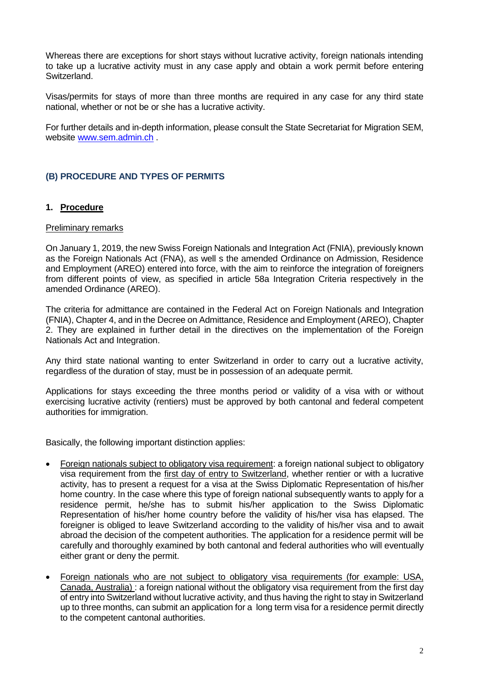Whereas there are exceptions for short stays without lucrative activity, foreign nationals intending to take up a lucrative activity must in any case apply and obtain a work permit before entering Switzerland.

Visas/permits for stays of more than three months are required in any case for any third state national, whether or not be or she has a lucrative activity.

For further details and in-depth information, please consult the State Secretariat for Migration SEM, website [www.sem.admin.ch](http://www.sem.admin.ch/) .

# **(B) PROCEDURE AND TYPES OF PERMITS**

## **1. Procedure**

### Preliminary remarks

On January 1, 2019, the new Swiss Foreign Nationals and Integration Act (FNIA), previously known as the Foreign Nationals Act (FNA), as well s the amended Ordinance on Admission, Residence and Employment (AREO) entered into force, with the aim to reinforce the integration of foreigners from different points of view, as specified in article 58a Integration Criteria respectively in the amended Ordinance (AREO).

The criteria for admittance are contained in the Federal Act on Foreign Nationals and Integration (FNIA), Chapter 4, and in the Decree on Admittance, Residence and Employment (AREO), Chapter 2. They are explained in further detail in the directives on the implementation of the Foreign Nationals Act and Integration.

Any third state national wanting to enter Switzerland in order to carry out a lucrative activity, regardless of the duration of stay, must be in possession of an adequate permit.

Applications for stays exceeding the three months period or validity of a visa with or without exercising lucrative activity (rentiers) must be approved by both cantonal and federal competent authorities for immigration.

Basically, the following important distinction applies:

- Foreign nationals subject to obligatory visa requirement: a foreign national subject to obligatory visa requirement from the first day of entry to Switzerland, whether rentier or with a lucrative activity, has to present a request for a visa at the Swiss Diplomatic Representation of his/her home country. In the case where this type of foreign national subsequently wants to apply for a residence permit, he/she has to submit his/her application to the Swiss Diplomatic Representation of his/her home country before the validity of his/her visa has elapsed. The foreigner is obliged to leave Switzerland according to the validity of his/her visa and to await abroad the decision of the competent authorities. The application for a residence permit will be carefully and thoroughly examined by both cantonal and federal authorities who will eventually either grant or deny the permit.
- Foreign nationals who are not subject to obligatory visa requirements (for example: USA, Canada, Australia) : a foreign national without the obligatory visa requirement from the first day of entry into Switzerland without lucrative activity, and thus having the right to stay in Switzerland up to three months, can submit an application for a long term visa for a residence permit directly to the competent cantonal authorities.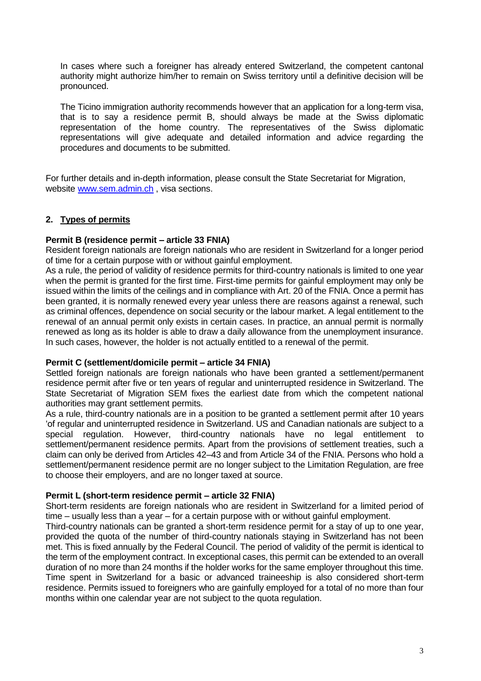In cases where such a foreigner has already entered Switzerland, the competent cantonal authority might authorize him/her to remain on Swiss territory until a definitive decision will be pronounced.

The Ticino immigration authority recommends however that an application for a long-term visa, that is to say a residence permit B, should always be made at the Swiss diplomatic representation of the home country. The representatives of the Swiss diplomatic representations will give adequate and detailed information and advice regarding the procedures and documents to be submitted.

For further details and in-depth information, please consult the State Secretariat for Migration, website [www.sem.admin.ch](http://www.sem.admin.ch/) , visa sections.

# **2. Types of permits**

## **Permit B (residence permit – article 33 FNIA)**

Resident foreign nationals are foreign nationals who are resident in Switzerland for a longer period of time for a certain purpose with or without gainful employment.

As a rule, the period of validity of residence permits for third-country nationals is limited to one year when the permit is granted for the first time. First-time permits for gainful employment may only be issued within the limits of the ceilings and in compliance with Art. 20 of the FNIA. Once a permit has been granted, it is normally renewed every year unless there are reasons against a renewal, such as criminal offences, dependence on social security or the labour market. A legal entitlement to the renewal of an annual permit only exists in certain cases. In practice, an annual permit is normally renewed as long as its holder is able to draw a daily allowance from the unemployment insurance. In such cases, however, the holder is not actually entitled to a renewal of the permit.

### **Permit C (settlement/domicile permit – article 34 FNIA)**

Settled foreign nationals are foreign nationals who have been granted a settlement/permanent residence permit after five or ten years of regular and uninterrupted residence in Switzerland. The State Secretariat of Migration SEM fixes the earliest date from which the competent national authorities may grant settlement permits.

As a rule, third-country nationals are in a position to be granted a settlement permit after 10 years 'of regular and uninterrupted residence in Switzerland. US and Canadian nationals are subject to a special regulation. However, third-country nationals have no legal entitlement to settlement/permanent residence permits. Apart from the provisions of settlement treaties, such a claim can only be derived from Articles 42–43 and from Article 34 of the FNIA. Persons who hold a settlement/permanent residence permit are no longer subject to the Limitation Regulation, are free to choose their employers, and are no longer taxed at source.

### **Permit L (short-term residence permit – article 32 FNIA)**

Short-term residents are foreign nationals who are resident in Switzerland for a limited period of time – usually less than a year – for a certain purpose with or without gainful employment.

Third-country nationals can be granted a short-term residence permit for a stay of up to one year, provided the quota of the number of third-country nationals staying in Switzerland has not been met. This is fixed annually by the Federal Council. The period of validity of the permit is identical to the term of the employment contract. In exceptional cases, this permit can be extended to an overall duration of no more than 24 months if the holder works for the same employer throughout this time. Time spent in Switzerland for a basic or advanced traineeship is also considered short-term residence. Permits issued to foreigners who are gainfully employed for a total of no more than four months within one calendar year are not subject to the quota regulation.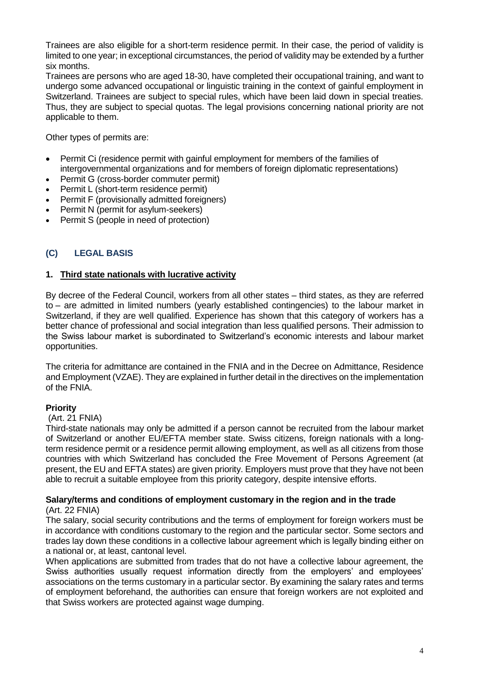Trainees are also eligible for a short-term residence permit. In their case, the period of validity is limited to one year; in exceptional circumstances, the period of validity may be extended by a further six months.

Trainees are persons who are aged 18-30, have completed their occupational training, and want to undergo some advanced occupational or linguistic training in the context of gainful employment in Switzerland. Trainees are subject to special rules, which have been laid down in special treaties. Thus, they are subject to special quotas. The legal provisions concerning national priority are not applicable to them.

Other types of permits are:

- [Permit Ci \(residence permit with gainful employment for members of the families of](http://www.bfm.admin.ch/content/bfm/en/home/themen/aufenthalt/nicht_eu_efta/ausweis_ci__aufenthalt_erwerb.html)  intergovernmental organizations [and for members of foreign diplomatic representations\)](http://www.bfm.admin.ch/content/bfm/en/home/themen/aufenthalt/nicht_eu_efta/ausweis_ci__aufenthalt_erwerb.html)
- [Permit G \(cross-border commuter permit\)](http://www.bfm.admin.ch/content/bfm/en/home/themen/aufenthalt/nicht_eu_efta/ausweis_g__grenzgaengerbewilligung.html)
- [Permit L \(short-term residence permit\)](http://www.bfm.admin.ch/content/bfm/en/home/themen/aufenthalt/nicht_eu_efta/ausweis_l__kurzaufenthaltsbewilligung.html)
- [Permit F \(provisionally admitted foreigners\)](http://www.bfm.admin.ch/content/bfm/en/home/themen/aufenthalt/nicht_eu_efta/ausweis_f__vorlaeufig.html)
- [Permit N \(permit for asylum-seekers\)](http://www.bfm.admin.ch/content/bfm/en/home/themen/aufenthalt/nicht_eu_efta/ausweis_n__asylsuchende.html)
- [Permit S \(people in need of protection\)](http://www.bfm.admin.ch/content/bfm/en/home/themen/aufenthalt/nicht_eu_efta/ausweis_s__schutzbeduerftige.html)

# **(C) LEGAL BASIS**

## **1. Third state nationals with lucrative activity**

By decree of the Federal Council, workers from all other states – third states, as they are referred to – are admitted in limited numbers (yearly established contingencies) to the labour market in Switzerland, if they are well qualified. Experience has shown that this category of workers has a better chance of professional and social integration than less qualified persons. Their admission to the Swiss labour market is subordinated to Switzerland's economic interests and labour market opportunities.

The criteria for admittance are contained in the FNIA and in the Decree on Admittance, Residence and Employment (VZAE). They are explained in further detail in the directives on the implementation of the FNIA.

## **Priority**

## (Art. 21 FNIA)

Third-state nationals may only be admitted if a person cannot be recruited from the labour market of Switzerland or another EU/EFTA member state. Swiss citizens, foreign nationals with a longterm residence permit or a residence permit allowing employment, as well as all citizens from those countries with which Switzerland has concluded the Free Movement of Persons Agreement (at present, the EU and EFTA states) are given priority. Employers must prove that they have not been able to recruit a suitable employee from this priority category, despite intensive efforts.

### **Salary/terms and conditions of employment customary in the region and in the trade** (Art. 22 FNIA)

The salary, social security contributions and the terms of employment for foreign workers must be in accordance with conditions customary to the region and the particular sector. Some sectors and trades lay down these conditions in a collective labour agreement which is legally binding either on a national or, at least, cantonal level.

When applications are submitted from trades that do not have a collective labour agreement, the Swiss authorities usually request information directly from the employers' and employees' associations on the terms customary in a particular sector. By examining the salary rates and terms of employment beforehand, the authorities can ensure that foreign workers are not exploited and that Swiss workers are protected against wage dumping.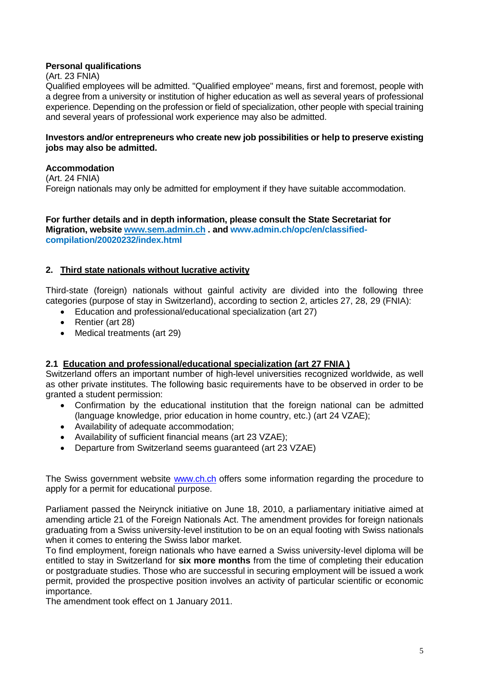# **Personal qualifications**

(Art. 23 FNIA)

Qualified employees will be admitted. "Qualified employee" means, first and foremost, people with a degree from a university or institution of higher education as well as several years of professional experience. Depending on the profession or field of specialization, other people with special training and several years of professional work experience may also be admitted.

## **Investors and/or entrepreneurs who create new job possibilities or help to preserve existing jobs may also be admitted.**

## **Accommodation**

(Art. 24 FNIA)

Foreign nationals may only be admitted for employment if they have suitable accommodation.

### **For further details and in depth information, please consult the State Secretariat for Migration, website [www.sem.admin.ch](http://www.sem.admin.ch/) . and www.admin.ch/opc/en/classifiedcompilation/20020232/index.html**

# **2. Third state nationals without lucrative activity**

Third-state (foreign) nationals without gainful activity are divided into the following three categories (purpose of stay in Switzerland), according to section 2, articles 27, 28, 29 (FNIA):

- Education and professional/educational specialization (art 27)
- Rentier (art 28)
- Medical treatments (art 29)

## **2.1 Education and professional/educational specialization (art 27 FNIA )**

Switzerland offers an important number of high-level universities recognized worldwide, as well as other private institutes. The following basic requirements have to be observed in order to be granted a student permission:

- Confirmation by the educational institution that the foreign national can be admitted (language knowledge, prior education in home country, etc.) (art 24 VZAE);
- Availability of adequate accommodation;
- Availability of sufficient financial means (art 23 VZAE);
- Departure from Switzerland seems guaranteed (art 23 VZAE)

The Swiss government website [www.ch.ch](http://www.ch.ch/) offers some information regarding the procedure to apply for a permit for educational purpose.

Parliament passed the Neirynck initiative on June 18, 2010, a parliamentary initiative aimed at amending article 21 of the Foreign Nationals Act. The amendment provides for foreign nationals graduating from a Swiss university-level institution to be on an equal footing with Swiss nationals when it comes to entering the Swiss labor market.

To find employment, foreign nationals who have earned a Swiss university-level diploma will be entitled to stay in Switzerland for **six more months** from the time of completing their education or postgraduate studies. Those who are successful in securing employment will be issued a work permit, provided the prospective position involves an activity of particular scientific or economic importance.

The amendment took effect on 1 January 2011.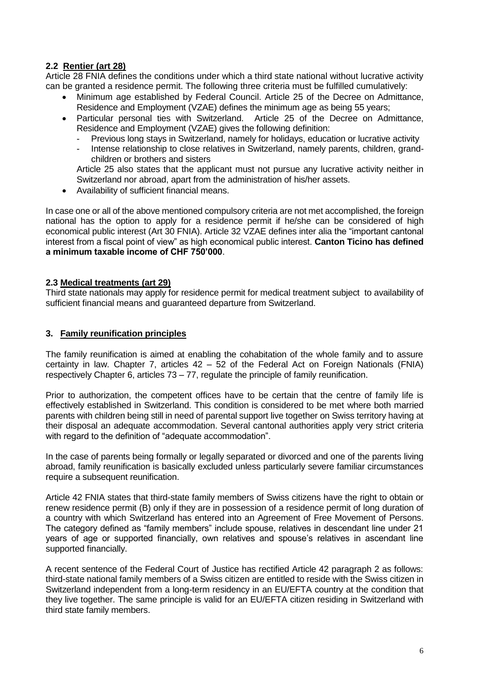# **2.2 Rentier (art 28)**

Article 28 FNIA defines the conditions under which a third state national without lucrative activity can be granted a residence permit. The following three criteria must be fulfilled cumulatively:

- Minimum age established by Federal Council. Article 25 of the Decree on Admittance, Residence and Employment (VZAE) defines the minimum age as being 55 years;
- Particular personal ties with Switzerland. Article 25 of the Decree on Admittance, Residence and Employment (VZAE) gives the following definition:
	- Previous long stays in Switzerland, namely for holidays, education or lucrative activity
	- Intense relationship to close relatives in Switzerland, namely parents, children, grandchildren or brothers and sisters

Article 25 also states that the applicant must not pursue any lucrative activity neither in Switzerland nor abroad, apart from the administration of his/her assets.

• Availability of sufficient financial means.

In case one or all of the above mentioned compulsory criteria are not met accomplished, the foreign national has the option to apply for a residence permit if he/she can be considered of high economical public interest (Art 30 FNIA). Article 32 VZAE defines inter alia the "important cantonal interest from a fiscal point of view" as high economical public interest. **Canton Ticino has defined a minimum taxable income of CHF 750'000**.

## **2.3 Medical treatments (art 29)**

Third state nationals may apply for residence permit for medical treatment subject to availability of sufficient financial means and guaranteed departure from Switzerland.

### **3. Family reunification principles**

The family reunification is aimed at enabling the cohabitation of the whole family and to assure certainty in law. Chapter 7, articles  $42 - 52$  of the Federal Act on Foreign Nationals (FNIA) respectively Chapter 6, articles  $73 - 77$ , regulate the principle of family reunification.

Prior to authorization, the competent offices have to be certain that the centre of family life is effectively established in Switzerland. This condition is considered to be met where both married parents with children being still in need of parental support live together on Swiss territory having at their disposal an adequate accommodation. Several cantonal authorities apply very strict criteria with regard to the definition of "adequate accommodation".

In the case of parents being formally or legally separated or divorced and one of the parents living abroad, family reunification is basically excluded unless particularly severe familiar circumstances require a subsequent reunification.

Article 42 FNIA states that third-state family members of Swiss citizens have the right to obtain or renew residence permit (B) only if they are in possession of a residence permit of long duration of a country with which Switzerland has entered into an Agreement of Free Movement of Persons. The category defined as "family members" include spouse, relatives in descendant line under 21 years of age or supported financially, own relatives and spouse's relatives in ascendant line supported financially.

A recent sentence of the Federal Court of Justice has rectified Article 42 paragraph 2 as follows: third-state national family members of a Swiss citizen are entitled to reside with the Swiss citizen in Switzerland independent from a long-term residency in an EU/EFTA country at the condition that they live together. The same principle is valid for an EU/EFTA citizen residing in Switzerland with third state family members.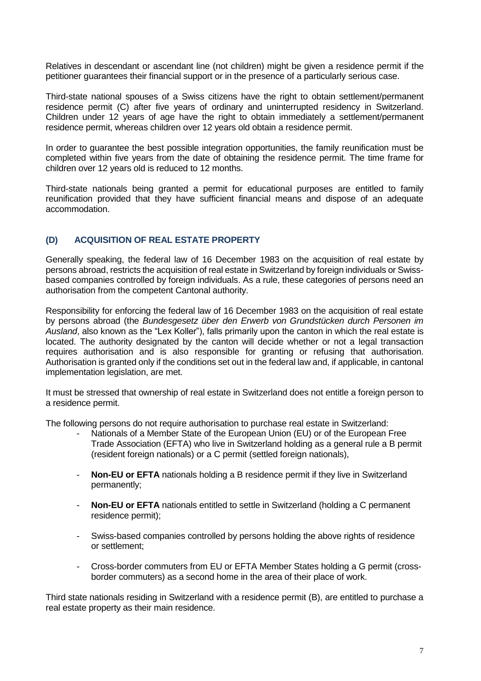Relatives in descendant or ascendant line (not children) might be given a residence permit if the petitioner guarantees their financial support or in the presence of a particularly serious case.

Third-state national spouses of a Swiss citizens have the right to obtain settlement/permanent residence permit (C) after five years of ordinary and uninterrupted residency in Switzerland. Children under 12 years of age have the right to obtain immediately a settlement/permanent residence permit, whereas children over 12 years old obtain a residence permit.

In order to guarantee the best possible integration opportunities, the family reunification must be completed within five years from the date of obtaining the residence permit. The time frame for children over 12 years old is reduced to 12 months.

Third-state nationals being granted a permit for educational purposes are entitled to family reunification provided that they have sufficient financial means and dispose of an adequate accommodation.

# **(D) ACQUISITION OF REAL ESTATE PROPERTY**

Generally speaking, the federal law of 16 December 1983 on the acquisition of real estate by persons abroad, restricts the acquisition of real estate in Switzerland by foreign individuals or Swissbased companies controlled by foreign individuals. As a rule, these categories of persons need an authorisation from the competent Cantonal authority.

Responsibility for enforcing the federal law of 16 December 1983 on the acquisition of real estate by persons abroad (the *Bundesgesetz über den Erwerb von Grundstücken durch Personen im Ausland*, also known as the "Lex Koller"), falls primarily upon the canton in which the real estate is located. The authority designated by the canton will decide whether or not a legal transaction requires authorisation and is also responsible for granting or refusing that authorisation. Authorisation is granted only if the conditions set out in the federal law and, if applicable, in cantonal implementation legislation, are met.

It must be stressed that ownership of real estate in Switzerland does not entitle a foreign person to a residence permit.

The following persons do not require authorisation to purchase real estate in Switzerland:

- Nationals of a Member State of the European Union (EU) or of the European Free Trade Association (EFTA) who live in Switzerland holding as a general rule a B permit (resident foreign nationals) or a C permit (settled foreign nationals),
- **Non-EU or EFTA** nationals holding a B residence permit if they live in Switzerland permanently;
- **Non-EU or EFTA** nationals entitled to settle in Switzerland (holding a C permanent residence permit);
- Swiss-based companies controlled by persons holding the above rights of residence or settlement;
- Cross-border commuters from EU or EFTA Member States holding a G permit (crossborder commuters) as a second home in the area of their place of work.

Third state nationals residing in Switzerland with a residence permit (B), are entitled to purchase a real estate property as their main residence.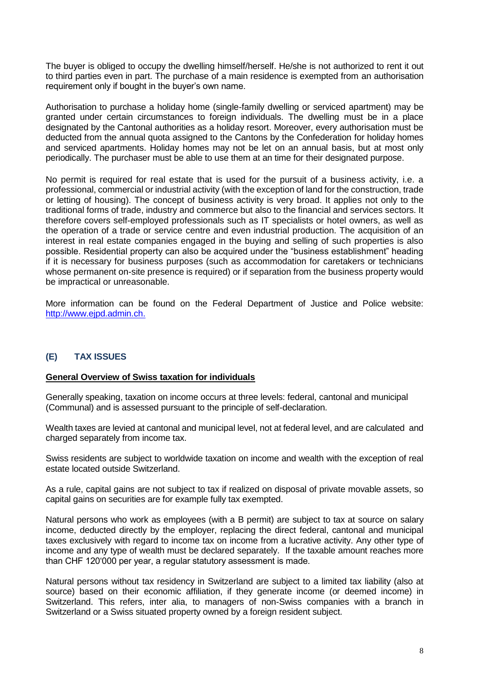The buyer is obliged to occupy the dwelling himself/herself. He/she is not authorized to rent it out to third parties even in part. The purchase of a main residence is exempted from an authorisation requirement only if bought in the buyer's own name.

Authorisation to purchase a holiday home (single-family dwelling or serviced apartment) may be granted under certain circumstances to foreign individuals. The dwelling must be in a place designated by the Cantonal authorities as a holiday resort. Moreover, every authorisation must be deducted from the annual quota assigned to the Cantons by the Confederation for holiday homes and serviced apartments. Holiday homes may not be let on an annual basis, but at most only periodically. The purchaser must be able to use them at an time for their designated purpose.

No permit is required for real estate that is used for the pursuit of a business activity, i.e. a professional, commercial or industrial activity (with the exception of land for the construction, trade or letting of housing). The concept of business activity is very broad. It applies not only to the traditional forms of trade, industry and commerce but also to the financial and services sectors. It therefore covers self-employed professionals such as IT specialists or hotel owners, as well as the operation of a trade or service centre and even industrial production. The acquisition of an interest in real estate companies engaged in the buying and selling of such properties is also possible. Residential property can also be acquired under the "business establishment" heading if it is necessary for business purposes (such as accommodation for caretakers or technicians whose permanent on-site presence is required) or if separation from the business property would be impractical or unreasonable.

More information can be found on the Federal Department of Justice and Police website: [http://www.ejpd.admin.ch.](http://www.ejpd.admin.ch./)

# **(E) TAX ISSUES**

### **General Overview of Swiss taxation for individuals**

Generally speaking, taxation on income occurs at three levels: federal, cantonal and municipal (Communal) and is assessed pursuant to the principle of self-declaration.

Wealth taxes are levied at cantonal and municipal level, not at federal level, and are calculated and charged separately from income tax.

Swiss residents are subject to worldwide taxation on income and wealth with the exception of real estate located outside Switzerland.

As a rule, capital gains are not subject to tax if realized on disposal of private movable assets, so capital gains on securities are for example fully tax exempted.

Natural persons who work as employees (with a B permit) are subject to tax at source on salary income, deducted directly by the employer, replacing the direct federal, cantonal and municipal taxes exclusively with regard to income tax on income from a lucrative activity. Any other type of income and any type of wealth must be declared separately. If the taxable amount reaches more than CHF 120'000 per year, a regular statutory assessment is made.

Natural persons without tax residency in Switzerland are subject to a limited tax liability (also at source) based on their economic affiliation, if they generate income (or deemed income) in Switzerland. This refers, inter alia, to managers of non-Swiss companies with a branch in Switzerland or a Swiss situated property owned by a foreign resident subject.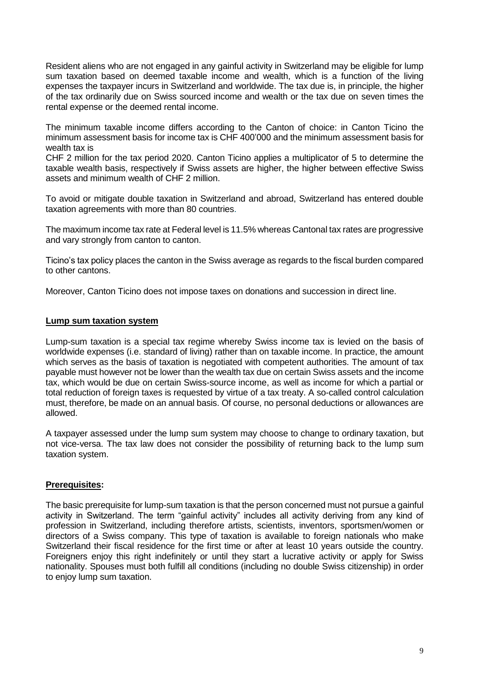Resident aliens who are not engaged in any gainful activity in Switzerland may be eligible for lump sum taxation based on deemed taxable income and wealth, which is a function of the living expenses the taxpayer incurs in Switzerland and worldwide. The tax due is, in principle, the higher of the tax ordinarily due on Swiss sourced income and wealth or the tax due on seven times the rental expense or the deemed rental income.

The minimum taxable income differs according to the Canton of choice: in Canton Ticino the minimum assessment basis for income tax is CHF 400'000 and the minimum assessment basis for wealth tax is

CHF 2 million for the tax period 2020. Canton Ticino applies a multiplicator of 5 to determine the taxable wealth basis, respectively if Swiss assets are higher, the higher between effective Swiss assets and minimum wealth of CHF 2 million.

To avoid or mitigate double taxation in Switzerland and abroad, Switzerland has entered double taxation agreements with more than 80 countries.

The maximum income tax rate at Federal level is 11.5% whereas Cantonal tax rates are progressive and vary strongly from canton to canton.

Ticino's tax policy places the canton in the Swiss average as regards to the fiscal burden compared to other cantons.

Moreover, Canton Ticino does not impose taxes on donations and succession in direct line.

### **Lump sum taxation system**

Lump-sum taxation is a special tax regime whereby Swiss income tax is levied on the basis of worldwide expenses (i.e. standard of living) rather than on taxable income. In practice, the amount which serves as the basis of taxation is negotiated with competent authorities. The amount of tax payable must however not be lower than the wealth tax due on certain Swiss assets and the income tax, which would be due on certain Swiss-source income, as well as income for which a partial or total reduction of foreign taxes is requested by virtue of a tax treaty. A so-called control calculation must, therefore, be made on an annual basis. Of course, no personal deductions or allowances are allowed.

A taxpayer assessed under the lump sum system may choose to change to ordinary taxation, but not vice-versa. The tax law does not consider the possibility of returning back to the lump sum taxation system.

## **Prerequisites:**

The basic prerequisite for lump-sum taxation is that the person concerned must not pursue a gainful activity in Switzerland. The term "gainful activity" includes all activity deriving from any kind of profession in Switzerland, including therefore artists, scientists, inventors, sportsmen/women or directors of a Swiss company. This type of taxation is available to foreign nationals who make Switzerland their fiscal residence for the first time or after at least 10 years outside the country. Foreigners enjoy this right indefinitely or until they start a lucrative activity or apply for Swiss nationality. Spouses must both fulfill all conditions (including no double Swiss citizenship) in order to enjoy lump sum taxation.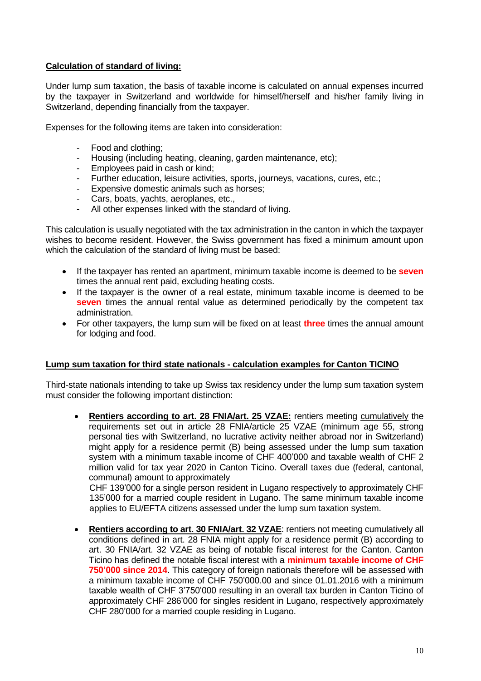# **Calculation of standard of living:**

Under lump sum taxation, the basis of taxable income is calculated on annual expenses incurred by the taxpayer in Switzerland and worldwide for himself/herself and his/her family living in Switzerland, depending financially from the taxpayer.

Expenses for the following items are taken into consideration:

- Food and clothing;
- Housing (including heating, cleaning, garden maintenance, etc);
- Employees paid in cash or kind:
- Further education, leisure activities, sports, journeys, vacations, cures, etc.;
- Expensive domestic animals such as horses;
- Cars, boats, yachts, aeroplanes, etc.,
- All other expenses linked with the standard of living.

This calculation is usually negotiated with the tax administration in the canton in which the taxpayer wishes to become resident. However, the Swiss government has fixed a minimum amount upon which the calculation of the standard of living must be based:

- If the taxpayer has rented an apartment, minimum taxable income is deemed to be **seven** times the annual rent paid, excluding heating costs.
- If the taxpayer is the owner of a real estate, minimum taxable income is deemed to be **seven** times the annual rental value as determined periodically by the competent tax administration.
- For other taxpayers, the lump sum will be fixed on at least **three** times the annual amount for lodging and food.

### **Lump sum taxation for third state nationals - calculation examples for Canton TICINO**

Third-state nationals intending to take up Swiss tax residency under the lump sum taxation system must consider the following important distinction:

**Rentiers according to art. 28 FNIA/art. 25 VZAE:** rentiers meeting cumulatively the requirements set out in article 28 FNIA/article 25 VZAE (minimum age 55, strong personal ties with Switzerland, no lucrative activity neither abroad nor in Switzerland) might apply for a residence permit (B) being assessed under the lump sum taxation system with a minimum taxable income of CHF 400'000 and taxable wealth of CHF 2 million valid for tax year 2020 in Canton Ticino. Overall taxes due (federal, cantonal, communal) amount to approximately

CHF 139'000 for a single person resident in Lugano respectively to approximately CHF 135'000 for a married couple resident in Lugano. The same minimum taxable income applies to EU/EFTA citizens assessed under the lump sum taxation system.

**Rentiers according to art. 30 FNIA/art. 32 VZAE: rentiers not meeting cumulatively all** conditions defined in art. 28 FNIA might apply for a residence permit (B) according to art. 30 FNIA/art. 32 VZAE as being of notable fiscal interest for the Canton. Canton Ticino has defined the notable fiscal interest with a **minimum taxable income of CHF 750'000 since 2014**. This category of foreign nationals therefore will be assessed with a minimum taxable income of CHF 750'000.00 and since 01.01.2016 with a minimum taxable wealth of CHF 3'750'000 resulting in an overall tax burden in Canton Ticino of approximately CHF 286'000 for singles resident in Lugano, respectively approximately CHF 280'000 for a married couple residing in Lugano.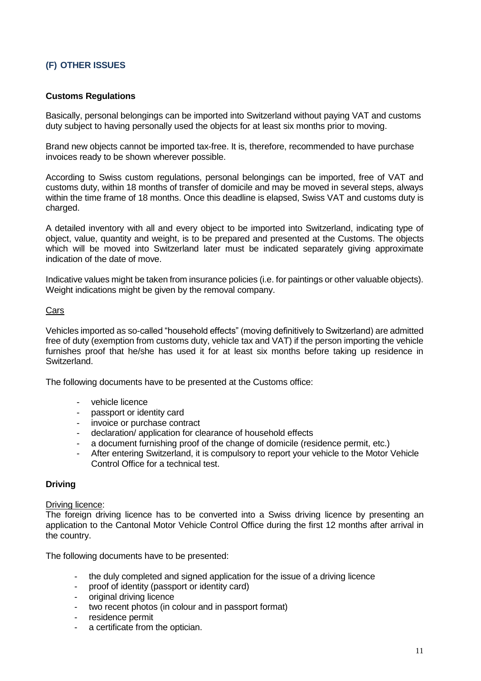# **(F) OTHER ISSUES**

### **Customs Regulations**

Basically, personal belongings can be imported into Switzerland without paying VAT and customs duty subject to having personally used the objects for at least six months prior to moving.

Brand new objects cannot be imported tax-free. It is, therefore, recommended to have purchase invoices ready to be shown wherever possible.

According to Swiss custom regulations, personal belongings can be imported, free of VAT and customs duty, within 18 months of transfer of domicile and may be moved in several steps, always within the time frame of 18 months. Once this deadline is elapsed, Swiss VAT and customs duty is charged.

A detailed inventory with all and every object to be imported into Switzerland, indicating type of object, value, quantity and weight, is to be prepared and presented at the Customs. The objects which will be moved into Switzerland later must be indicated separately giving approximate indication of the date of move.

Indicative values might be taken from insurance policies (i.e. for paintings or other valuable objects). Weight indications might be given by the removal company.

### Cars

Vehicles imported as so-called "household effects" (moving definitively to Switzerland) are admitted free of duty (exemption from customs duty, vehicle tax and VAT) if the person importing the vehicle furnishes proof that he/she has used it for at least six months before taking up residence in Switzerland.

The following documents have to be presented at the Customs office:

- vehicle licence
- passport or identity card
- invoice or purchase contract
- declaration/ application for clearance of household effects
- a document furnishing proof of the change of domicile (residence permit, etc.)
- After entering Switzerland, it is compulsory to report your vehicle to the Motor Vehicle Control Office for a technical test.

### **Driving**

#### Driving licence:

The foreign driving licence has to be converted into a Swiss driving licence by presenting an application to the Cantonal Motor Vehicle Control Office during the first 12 months after arrival in the country.

The following documents have to be presented:

- the duly completed and signed application for the issue of a driving licence
- proof of identity (passport or identity card)
- original driving licence
- two recent photos (in colour and in passport format)
- residence permit
- a certificate from the optician.